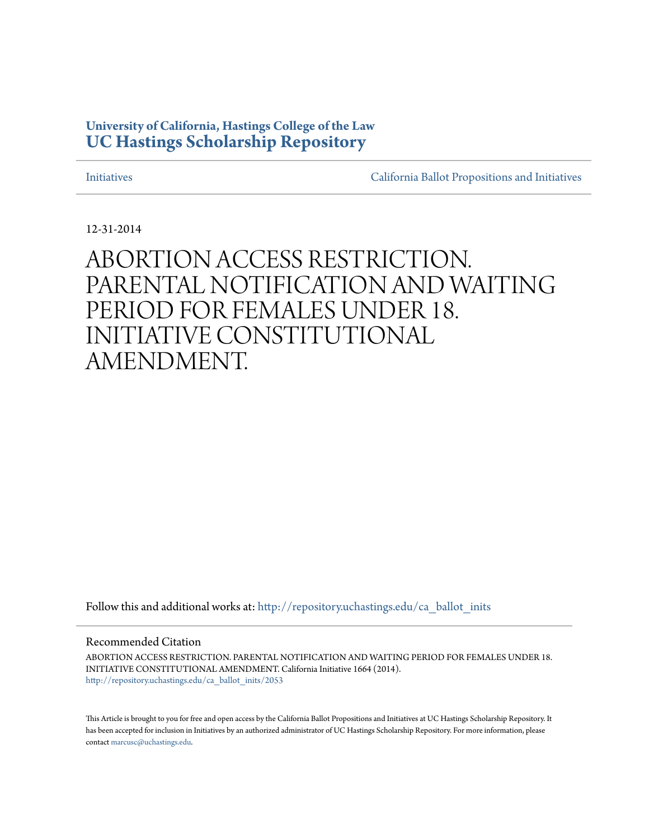## **University of California, Hastings College of the Law [UC Hastings Scholarship Repository](http://repository.uchastings.edu?utm_source=repository.uchastings.edu%2Fca_ballot_inits%2F2053&utm_medium=PDF&utm_campaign=PDFCoverPages)**

[Initiatives](http://repository.uchastings.edu/ca_ballot_inits?utm_source=repository.uchastings.edu%2Fca_ballot_inits%2F2053&utm_medium=PDF&utm_campaign=PDFCoverPages) [California Ballot Propositions and Initiatives](http://repository.uchastings.edu/ca_ballots?utm_source=repository.uchastings.edu%2Fca_ballot_inits%2F2053&utm_medium=PDF&utm_campaign=PDFCoverPages)

12-31-2014

# ABORTION ACCESS RESTRICTION. PARENTAL NOTIFICATION AND WAITING PERIOD FOR FEMALES UNDER 18. INITIATIVE CONSTITUTIONAL AMENDMENT.

Follow this and additional works at: [http://repository.uchastings.edu/ca\\_ballot\\_inits](http://repository.uchastings.edu/ca_ballot_inits?utm_source=repository.uchastings.edu%2Fca_ballot_inits%2F2053&utm_medium=PDF&utm_campaign=PDFCoverPages)

Recommended Citation

ABORTION ACCESS RESTRICTION. PARENTAL NOTIFICATION AND WAITING PERIOD FOR FEMALES UNDER 18. INITIATIVE CONSTITUTIONAL AMENDMENT. California Initiative 1664 (2014). [http://repository.uchastings.edu/ca\\_ballot\\_inits/2053](http://repository.uchastings.edu/ca_ballot_inits/2053?utm_source=repository.uchastings.edu%2Fca_ballot_inits%2F2053&utm_medium=PDF&utm_campaign=PDFCoverPages)

This Article is brought to you for free and open access by the California Ballot Propositions and Initiatives at UC Hastings Scholarship Repository. It has been accepted for inclusion in Initiatives by an authorized administrator of UC Hastings Scholarship Repository. For more information, please contact [marcusc@uchastings.edu](mailto:marcusc@uchastings.edu).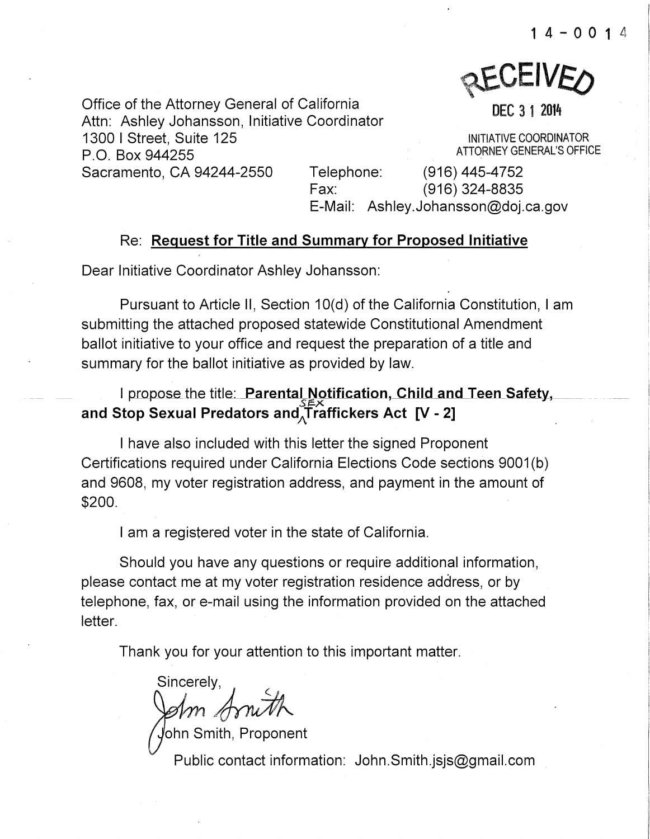**AEAEIAEO** 

Office of the Attorney General of California Attn: Ashley Johansson, Initiative Coordinator 1300 I Street, Suite 125 P.O. Box 944255 A TIORNEY GENERAL'S OFFICE Sacramento, CA 94244-2550 Telephone: (916) 445-4752

DEC 3 1 2014

INITIATIVE COORDINATOR

Fax: (916) 324-8835 E-Mail: Ashley.Johansson@doj.ca.gov

## Re: Request for Title and Summary for Proposed Initiative

Dear Initiative Coordinator Ashley Johansson:

Pursuant to Article II, Section 10(d) of the California Constitution, I am submitting the attached proposed statewide Constitutional Amendment ballot initiative to your office and request the preparation of a title and summary for the ballot initiative as provided by law.

## I propose the title: Parental Notification, Child and Teen Safety, and Stop Sexual Predators and  $\widetilde{\Gamma}$ raffickers Act [V - 2]

I have also included with this letter the signed Proponent Certifications required under California Elections Code sections 9001 (b) and 9608, my voter registration address, and payment in the amount of \$200.

I am a registered voter in the state of California.

Should you have any questions or require additional information, please contact me at my voter registration residence address, or by telephone, fax, or e-mail using the information provided on the attached letter.

Thank you for your attention to this important matter.

Sincerely,

ohn Smith, Proponent/ Public contact information: John.Smith.jsjs@gmail.com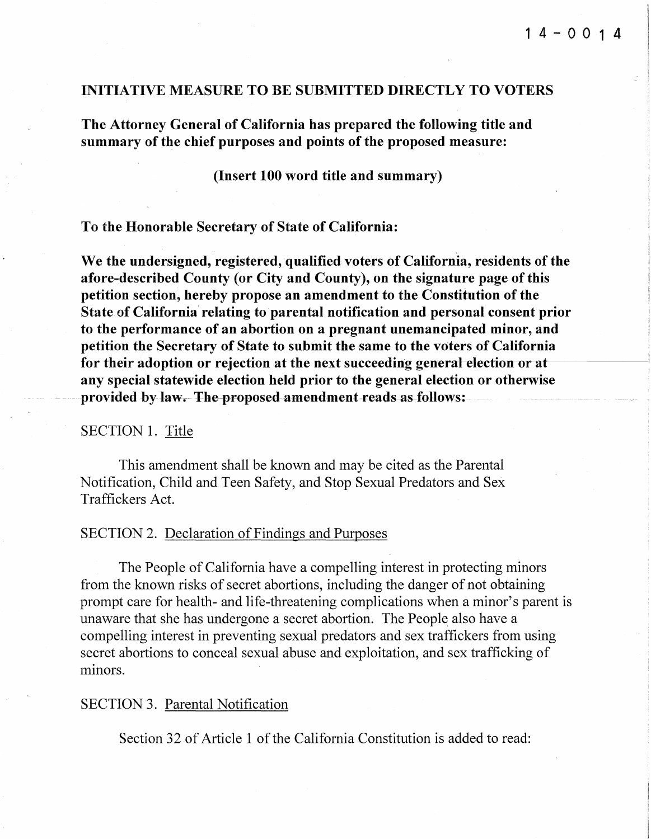#### INITIATIVE MEASURE TO BE SUBMITTED DIRECTLY TO VOTERS

The Attorney General of California has prepared the following title and summary of the chief purposes and points of the proposed measure:

(Insert 100 word title and summary)

To the Honorable Secretary of State of California:

We the undersigned, registered, qualified voters of California, residents of the afore-described County (or City and County), on the signature page of this petition section, hereby propose an amendment to the Constitution of the State of California relating to parental notification and personal consent prior to the performance of an abortion on a pregnant unemancipated minor, and petition the Secretary of State to submit the same to the voters of California for their adoption or rejection at the next succeeding general election or at any special statewide election held prior to the general election or otherwise provided by law.--The-proposed-amendment-reads-as-follows:

#### SECTION 1. Title

This amendment shall be known and may be cited as the Parental Notification, Child and Teen Safety, and Stop Sexual Predators and Sex Traffickers Act.

#### SECTION 2. Declaration of Findings and Purposes

The People of California have a compelling interest in protecting minors from the known risks of secret abortions, including the danger of not obtaining prompt care for health- and life-threatening complications when a minor's parent is unaware that she has undergone a secret abortion. The People also have a compelling interest in preventing sexual predators and sex traffickers from using secret abortions to conceal sexual abuse and exploitation, and sex trafficking of minors.

#### SECTION 3. Parental Notification

Section 32 of Article 1 of the California Constitution is added to read: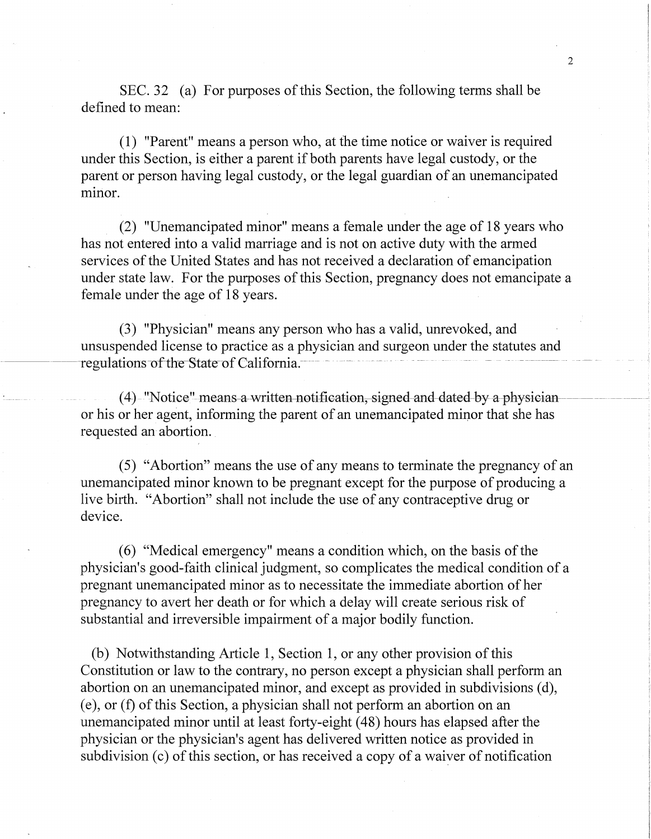SEC. 32 (a) For purposes of this Section, the following terms shall be defined to mean:

(1) "Parent" means a person who, at the time notice or waiver is required under this Section, is either a parent if both parents have legal custody, or the parent or person having legal custody, or the legal guardian of an unemancipated minor.

(2) "Unemancipated minor" means a female under the age of 18 years who has not entered into a valid marriage and is not on active duty with the armed services of the United States and has not received a declaration of emancipation under state law. For the purposes of this Section, pregnancy does not emancipate a female under the age of 18 years.

(3) "Physician" means any person who has a valid, unrevoked, and unsuspended license to practice as a physician and surgeon under the statutes and regulations of the State of California.

 $(4)$  "Notice" means a written notification, signed and dated by a physician or his or her agent, informing the parent of an unemancipated minor that she has requested an abortion.

( 5) "Abortion" means the use of any means to terminate the pregnancy of an unemancipated minor known to be pregnant except for the purpose of producing a live birth. "Abortion" shall not include the use of any contraceptive drug or device.

( 6) "Medical emergency" means a condition which, on the basis of the physician's good-faith clinical judgment, so complicates the medical condition of a pregnant unemancipated minor as to necessitate the immediate abortion of her pregnancy to avert her death or for which a delay will create serious risk of substantial and irreversible impairment of a major bodily function.

(b) Notwithstanding Article 1, Section 1, or any other provision of this Constitution or law to the contrary, no person except a physician shall perform an abortion on an unemancipated minor, and except as provided in subdivisions (d), (e), or (f) of this Section, a physician shall not perform an abortion on an unemancipated minor until at least forty-eight ( 48) hours has elapsed after the physician or the physician's agent has delivered written notice as provided in subdivision (c) of this section, or has received a copy of a waiver of notification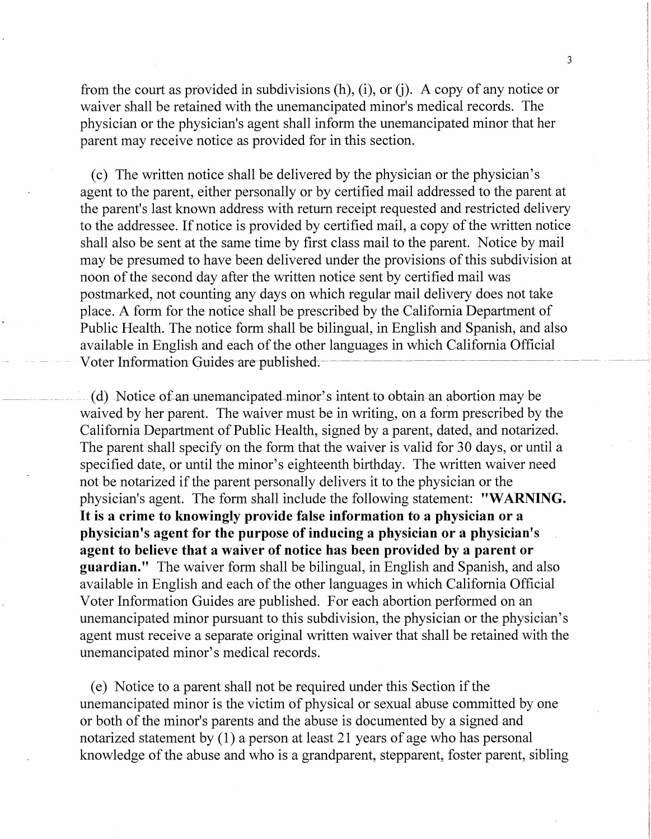from the court as provided in subdivisions  $(h)$ ,  $(i)$ , or  $(i)$ . A copy of any notice or waiver shall be retained with the unemancipated minor's medical records. The physician or the physician's agent shall inform the unemancipated minor that her parent may receive notice as provided for in this section.

(c) The written notice shall be delivered by the physician or the physician's agent to the parent, either personally or by certified mail addressed to the parent at the parent's last known address with return receipt requested and restricted delivery to the addressee. If notice is provided by certified mail, a copy of the written notice shall also be sent at the same time by first class mail to the parent. Notice by mail may be presumed to have been delivered under the provisions of this subdivision at noon of the second day after the written notice sent by certified mail was postmarked, not counting any days on which regular mail delivery does not take place. A form for the notice shall be prescribed by the California Department of Public Health. The notice form shall be bilingual, in English and Spanish, and also available in English and each of the other languages in which California Official Voter Information-Guides-are-published.

(d) Notice of an unemancipated minor's intent to obtain an abortion may be waived by her parent. The waiver must be in writing, on a form prescribed by the California Department of Public Health, signed by a parent, dated, and notarized. The parent shall specify on the form that the waiver is valid for 30 days, or until a specified date, or until the minor's eighteenth birthday. The written waiver need not be notarized if the parent personally delivers it to the physician or the physician's agent. The form shall include the following statement: **"WARNING.**  It is **a crime to knowingly provide false information to a physician or a physician's agent for the purpose of inducing a physician or a physician's agent to believe that a waiver of notice has been provided by a parent or guardian."** The waiver form shall be bilingual, in English and Spanish, and also available in English and each of the other languages in which California Official Voter Information Guides are published. For each abortion performed on an unemancipated minor pursuant to this subdivision, the physician or the physician's agent must receive a separate original written waiver that shall be retained with the unemancipated minor's medical records.

(e) Notice to a parent shall not be required under this Section if the unemancipated minor is the victim of physical or sexual abuse committed by one or both of the minor's parents and the abuse is documented by a signed and notarized statement by  $(1)$  a person at least 21 years of age who has personal knowledge of the abuse and who is a grandparent, stepparent, foster parent, sibling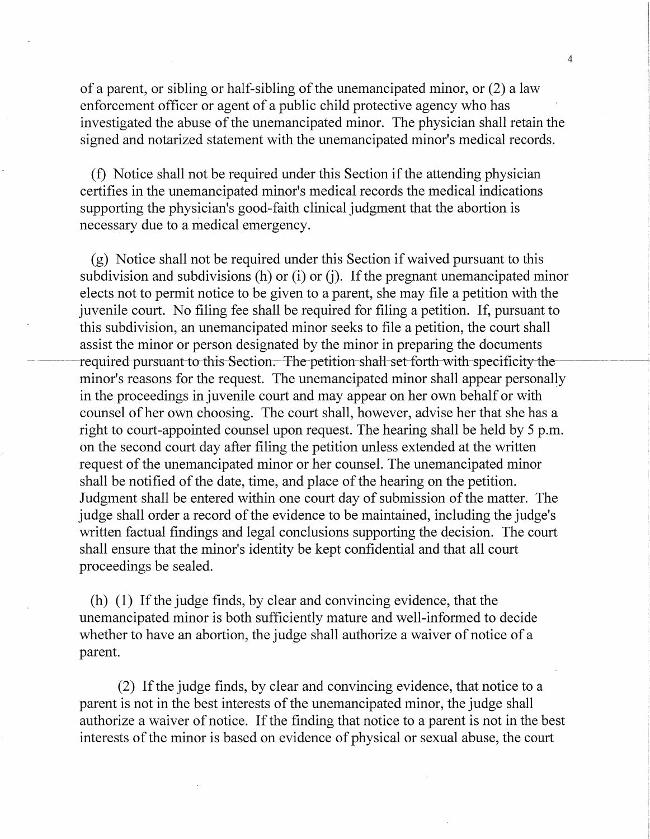of a parent, or sibling or half-sibling of the unemancipated minor, or (2) a law enforcement officer or agent of a public child protective agency who has investigated the abuse of the unemancipated minor. The physician shall retain the signed and notarized statement with the unemancipated minor's medical records.

(f) Notice shall not be required under this Section if the attending physician certifies in the unemancipated minor's medical records the medical indications supporting the physician's good-faith clinical judgment that the abortion is necessary due to a medical emergency.

(g) Notice shall not be required under this Section if waived pursuant to this subdivision and subdivisions (h) or (i) or (j). If the pregnant unemancipated minor elects not to permit notice to be given to a parent, she may file a petition with the juvenile court. No filing fee shall be required for filing a petition. If, pursuant to this subdivision, an unemancipated minor seeks to file a petition, the court shall assist the minor or person designated by the minor in preparing the documents required pursuant to this-Section. The petition-shall-set-forth-with-specificity-theminor's reasons for the request. The unemancipated minor shall appear personally in the proceedings in juvenile court and may appear on her own behalf or with counsel of her own choosing. The court shall, however, advise her that she has a right to court-appointed counsel upon request. The hearing shall be held by 5 p.m. on the second court day after filing the petition unless extended at the written request of the unemancipated minor or her counsel. The unemancipated minor shall be notified of the date, time, and place of the hearing on the petition. Judgment shall be entered within one court day of submission of the matter. The judge shall order a record of the evidence to be maintained, including the judge's written factual findings and legal conclusions supporting the decision. The court shall ensure that the minor's identity be kept confidential and that all court proceedings be sealed.

(h) (1) If the judge finds, by clear and convincing evidence, that the unemancipated minor is both sufficiently mature and well-informed to decide whether to have an abortion, the judge shall authorize a waiver of notice of a parent.

(2) If the judge finds, by clear and convincing evidence, that notice to a parent is not in the best interests of the unemancipated minor, the judge shall authorize a waiver of notice. If the finding that notice to a parent is not in the best interests of the minor is based on evidence of physical or sexual abuse, the court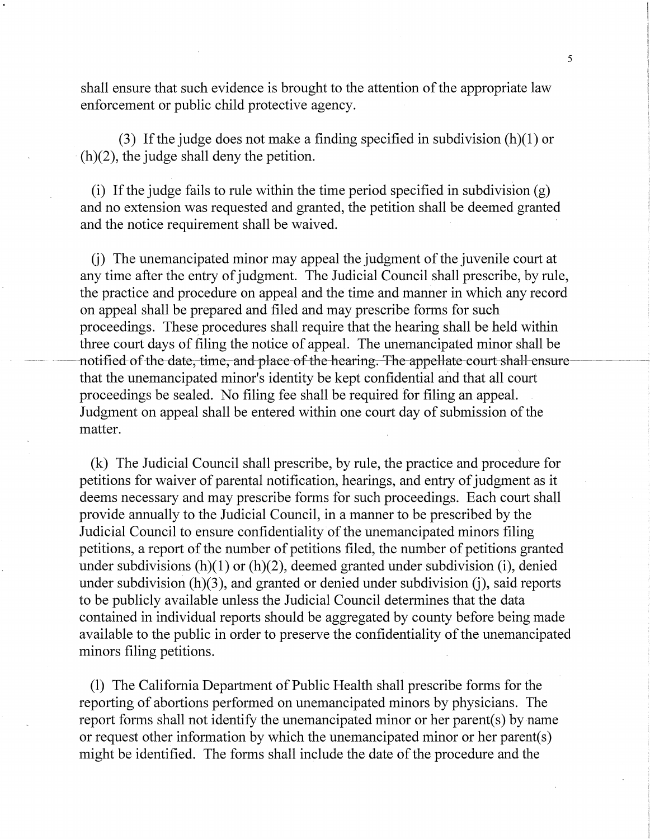shall ensure that such evidence is brought to the attention of the appropriate law enforcement or public child protective agency.

(3) If the judge does not make a finding specified in subdivision  $(h)(1)$  or  $(h)(2)$ , the judge shall deny the petition.

(i) If the judge fails to rule within the time period specified in subdivision (g) and no extension was requested and granted, the petition shall be deemed granted and the notice requirement shall be waived.

G) The unemancipated minor may appeal the judgment of the juvenile court at any time after the entry of judgment. The Judicial Council shall prescribe, by rule, the practice and procedure on appeal and the time and manner in which any record on appeal shall be prepared and filed and may prescribe forms for such proceedings. These procedures shall require that the hearing shall be held within three court days of filing the notice of appeal. The unemancipated minor shall be -notified of the date, time, and place of the hearing. The appellate court shall ensure that the unemancipated minor's identity be kept confidential and that all court proceedings be sealed. No filing fee shall be required for filing an appeal. Judgment on appeal shall be entered within one court day of submission of the matter.

(k) The Judicial Council shall prescribe, by rule, the practice and procedure for petitions for waiver of parental notification, hearings, and entry of judgment as it deems necessary and may prescribe forms for such proceedings. Each court shall provide annually to the Judicial Council, in a manner to be prescribed by the Judicial Council to ensure confidentiality of the unemancipated minors filing petitions, a report of the number of petitions filed, the number of petitions granted under subdivisions  $(h)(1)$  or  $(h)(2)$ , deemed granted under subdivision (i), denied under subdivision  $(h)(3)$ , and granted or denied under subdivision  $(i)$ , said reports to be publicly available unless the Judicial Council determines that the data contained in individual reports should be aggregated by county before being made available to the public in order to preserve the confidentiality of the unemancipated minors filing petitions.

(1) The California Department of Public Health shall prescribe forms for the reporting of abortions performed on unemancipated minors by physicians. The report forms shall not identify the unemancipated minor or her parent(s) by name or request other information by which the unemancipated minor or her parent(s) might be identified. The forms shall include the date of the procedure and the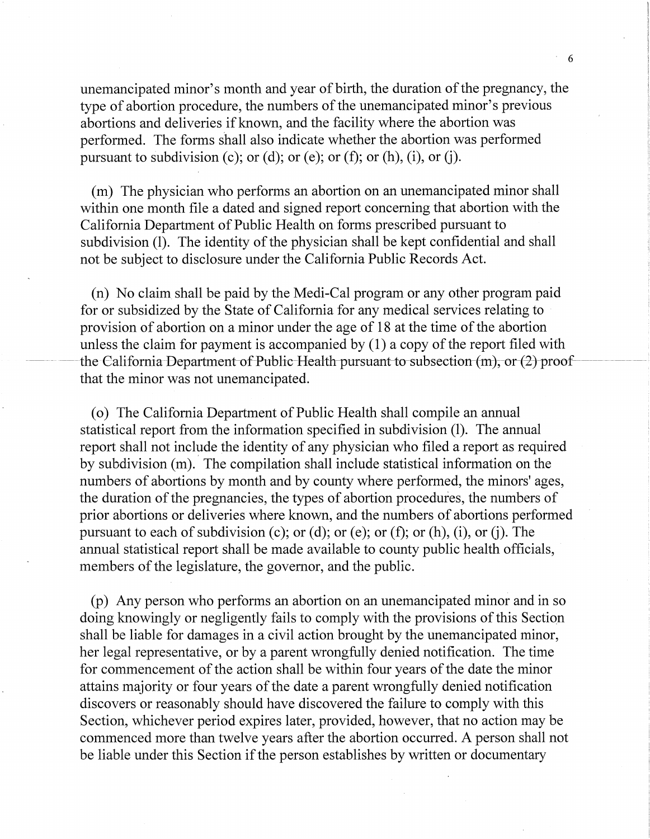unemancipated minor's month and year of birth, the duration of the pregnancy, the type of abortion procedure, the numbers of the unemancipated minor's previous abortions and deliveries if known, and the facility where the abortion was performed. The forms shall also indicate whether the abortion was performed pursuant to subdivision (c); or (d); or (e); or (f); or (h), (i), or (j).

(m) The physician who performs an abortion on an unemancipated minor shall within one month file a dated and signed report concerning that abortion with the California Department of Public Health on forms prescribed pursuant to subdivision (1). The identity of the physician shall be kept confidential and shall not be subject to disclosure under the California Public Records Act.

(n) No claim shall be paid by the Medi-Cal program or any other program paid for or subsidized by the State of California for any medical services relating to provision of abortion on a minor under the age of 18 at the time of the abortion unless the claim for payment is accompanied by  $(1)$  a copy of the report filed with the California-Department of Public-Health-pursuant-to-subsection  $(m)$ , or  $(2)$  proof that the minor was not unemancipated.

(o) The California Department of Public Health shall compile an annual statistical report from the information specified in subdivision (1). The annual report shall not include the identity of any physician who filed a report as required by subdivision (m). The compilation shall include statistical information on the numbers of abortions by month and by county where performed, the minors' ages, the duration of the pregnancies, the types of abortion procedures, the numbers of prior abortions or deliveries where known, and the numbers of abortions performed pursuant to each of subdivision (c); or (d); or (e); or (f); or (h), (i), or (j). The annual statistical report shall be made available to county public health officials, members of the legislature, the governor, and the public.

(p) Any person who performs an abortion on an unemancipated minor and in so doing knowingly or negligently fails to comply with the provisions of this Section shall be liable for damages in a civil action brought by the unemancipated minor, her legal representative, or by a parent wrongfully denied notification. The time for commencement of the action shall be within four years of the date the minor attains majority or four years of the date a parent wrongfully denied notification discovers or reasonably should have discovered the failure to comply with this Section, whichever period expires later, provided, however, that no action may be commenced more than twelve years after the abortion occurred. A person shall not be liable under this Section if the person establishes by written or documentary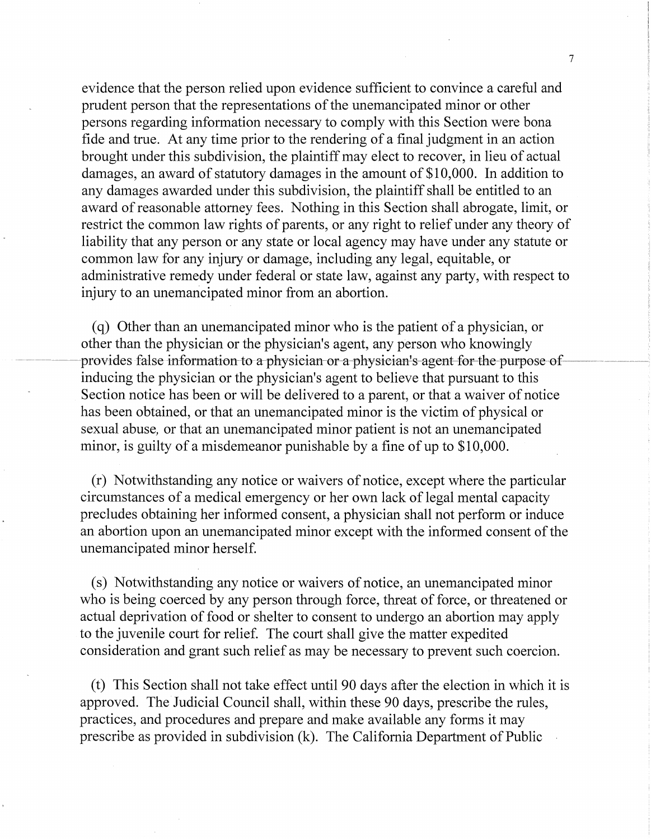evidence that the person relied upon evidence sufficient to convince a careful and prudent person that the representations of the unemancipated minor or other persons regarding information necessary to comply with this Section were bona fide and true. At any time prior to the rendering of a final judgment in an action brought under this subdivision, the plaintiff may elect to recover, in lieu of actual damages, an award of statutory damages in the amount of \$10,000. In addition to any damages awarded under this subdivision, the plaintiff shall be entitled to an award of reasonable attorney fees. Nothing in this Section shall abrogate, limit, or restrict the common law rights of parents, or any right to relief under any theory of liability that any person or any state or local agency may have under any statute or common law for any injury or damage, including any legal, equitable, or administrative remedy under federal or state law, against any party, with respect to injury to an unemancipated minor from an abortion.

( q) Other than an unemancipated minor who is the patient of a physician, or other than the physician or the physician's agent, any person who knowingly provides false information to a physician-or a-physician's agent-for-the-purpose-ofinducing the physician or the physician's agent to believe that pursuant to this Section notice has been or will be delivered to a parent, or that a waiver of notice has been obtained, or that an unemancipated minor is the victim of physical or sexual abuse, or that an unemancipated minor patient is not an unemancipated minor, is guilty of a misdemeanor punishable by a fine of up to \$10,000.

(r) Notwithstanding any notice or waivers of notice, except where the particular circumstances of a medical emergency or her own lack of legal mental capacity precludes obtaining her informed consent, a physician shall not perform or induce an abortion upon an unemancipated minor except with the informed consent of the unemancipated minor herself.

(s) Notwithstanding any notice or waivers of notice, an unemancipated minor who is being coerced by any person through force, threat of force, or threatened or actual deprivation of food or shelter to consent to undergo an abortion may apply to the juvenile court for relief. The court shall give the matter expedited consideration and grant such relief as may be necessary to prevent such coercion.

( t) This Section shall not take effect until 90 days after the election in which it is approved. The Judicial Council shall, within these 90 days, prescribe the rules, practices, and procedures and prepare and make available any forms it may prescribe as provided in subdivision (k). The California Department of Public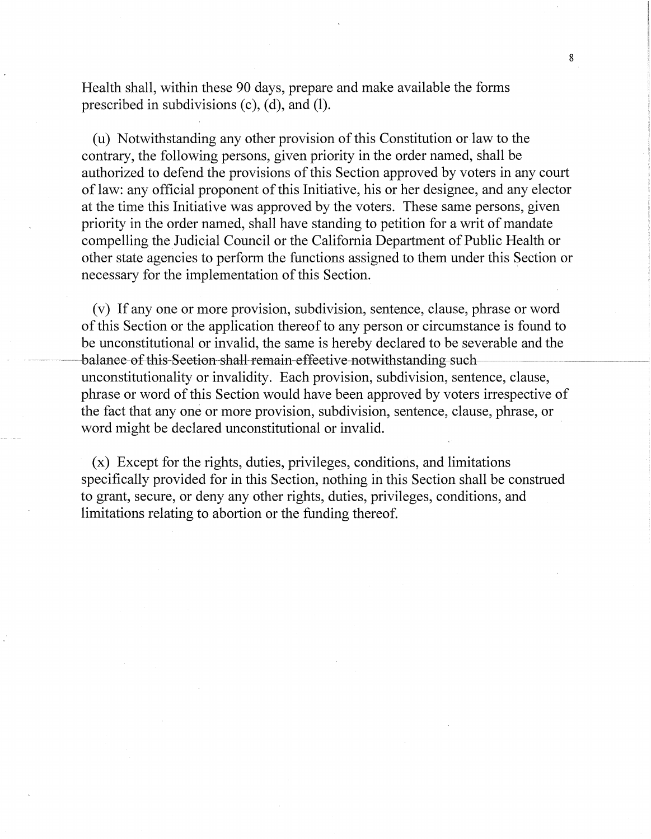Health shall, within these 90 days, prepare and make available the forms prescribed in subdivisions (c), (d), and (1).

(u) Notwithstanding any other provision of this Constitution or law to the contrary, the following persons, given priority in the order named, shall be authorized to defend the provisions of this Section approved by voters in any court of law: any official proponent of this Initiative, his or her designee, and any elector at the time this Initiative was approved by the voters. These same persons, given priority in the order named, shall have standing to petition for a writ of mandate compelling the Judicial Council or the California Department of Public Health or other state agencies to perform the functions assigned to them under this Section or necessary for the implementation of this Section.

( v) If any one or more provision, subdivision, sentence, clause, phrase or word of this Section or the application thereof to any person or circumstance is found to be unconstitutional or invalid, the same is hereby declared to be severable and the -balanee-of this-Section-shall-remain-effective-notwithstanding-suchunconstitutionality or invalidity. Each provision, subdivision, sentence, clause, phrase or word of this Section would have been approved by voters irrespective of the fact that any one or more provision, subdivision, sentence, clause, phrase, or word might be declared unconstitutional or invalid.

(x) Except for the rights, duties, privileges, conditions, and limitations specifically provided for in this Section, nothing in this Section shall be construed to grant, secure, or deny any other rights, duties, privileges, conditions, and limitations relating to abortion or the funding thereof.